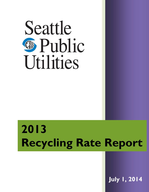

# **2013 Recycling Rate Report**

**July 1, 2014**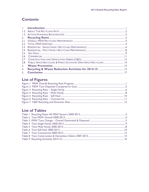### **Contents**

| PUBLIC SPACE RECYCLING & PARKS OUTDOOR OPEN SPACE RECYCLING  14 |  |
|-----------------------------------------------------------------|--|
|                                                                 |  |
|                                                                 |  |
|                                                                 |  |
|                                                                 |  |

### **List of Figures**

### **List of Tables**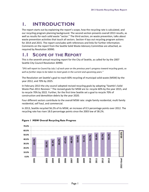# <span id="page-2-0"></span>**1. INTRODUCTION**

The report starts out by explaining the report's scope, how the recycling rate is calculated, and our recycling program planning background. The second section presents overall 2013 results, as well as results for each solid waste "sector." The third section, on waste prevention, talks about waste prevention activities that touch all sectors. Section 4 lays out recycling program actions for 2014 and 2015. The report concludes with references and links for further information. Comments on the report from the Seattle Solid Waste Advisory Committee are attached, as required by Resolution 30990.

# **1.1 SCOPE OF THE REPORT**

This is the seventh annual recycling report for the City of Seattle, as called for by the 2007 Seattle City Council Resolution 30990.

*"SPU will report to Council by July 1 of each year on the previous year's progress toward recycling goals, as well as further steps to be taken to meet goals in the current and upcoming years."*

The Resolution set Seattle's goal to reach 60% recycling of municipal solid waste (MSW) by the year 2012, and 70% by 2025.

In February 2013 the city council adopted revised recycling goals by adopting "Seattle's Solid Waste Plan 2011 Revision." The revised goals for MSW are to: recycle 60% by the year 2015, and to recycle 70% by 2022. Further, for the first time Seattle set a goal to recycle 70% of construction and demolition debris by the year 2020.

Four different sectors contribute to the overall MSW rate: single family residential, multi family residential, self haul, and commercial.

In 2013, Seattle recycled 56.2% of its MSW, an increase of 0.5 percentage points over 2012. The recycling rate has risen 18.0 percentage points since the 2003 low of 38.2%.



#### <span id="page-2-1"></span>**Figure 1 MSW Overall Recycling Rate Progress**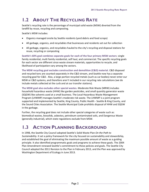# <span id="page-3-0"></span>**1.2 ABOUT THE RECYCLING RATE**

Seattle's recycling rate is the percentage of municipal solid waste (MSW) diverted from the landfill by reuse, recycling and composting.

Seattle's MSW includes:

- Organics managed onsite by Seattle residents (yard debris and food scraps)
- All garbage, organics, and recyclables that businesses and residents set out for collection
- All garbage, organics, and recyclables hauled to the city's recycling and disposal stations for reuse, recycling or composting

**Seattle's 60% goal combines separate goals for each of the four primary MSW sectors**: single family residential, multi family residential, self haul, and commercial. The specific recycling goals for each sector are different since waste stream materials, opportunities to recycle, and likelihood of participation vary among the sectors.

**The MSW recycling goal excludes construction and demolition (C&D) material.** C&D disposed and recycled tons are counted separately in the C&D stream, and Seattle now has a separate recycling goal for C&D. Also, a large portion recycled metals (such as car bodies) never enter our MSW or C&D systems, and therefore aren't included in our recycling rate calculations (we do include metals collected at the curb and at our transfer stations).

**The MSW goal also excludes other special wastes.** Moderate Risk Waste (MRW) includes household hazardous waste (HHW) like garden pesticides, and small quantity generator waste (SQGW) like solvents used at a small business. The Local Hazardous Waste Management Program (LHWMP) manages Seattle's moderate risk waste. The LHWMP is a joint program supported and implemented by Seattle, King County, Public Health - Seattle & King County, and the Sound Cities Association. The Seattle Municipal Code prohibits disposal of HHW and SQGW in the garbage.

Further, the recycling goal does not include other special categories of waste such as: biomedical wastes, biosolids, asbestos, petroleum contaminated soils, and Dangerous Waste (generally industrial), which state regulations exclude from MSW.

# <span id="page-3-1"></span>**1.3 ACTION PLANNING BACKGROUND**

In 1998, the Seattle City Council adopted Seattle's Solid Waste Plan *On the Path to Sustainability*. It set a policy framework for the city focused on sustainability and stewardship, and established the goal of eliminating the maximum possible amount of waste as a guiding principle. It also identified programmatic goals and programs to achieve these goals. The 2004 Plan Amendment renewed Seattle's commitment to these policies and goals. The Seattle City Council adopted the 2011 Revision to the Plan in February 2013, and the Plan was approved by Washington Department of Ecology in June 2013.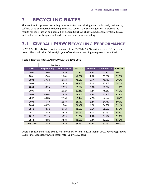# <span id="page-4-0"></span>**2. RECYCLING RATES**

This section first presents recycling rates for MSW: overall, single and multifamily residential, self haul, and commercial. Following the MSW sectors, the section goes on to present the results for construction and demolition debris (C&D), which is tracked separately from MSW, and to discuss public space and parks outdoor open space recycling.

# <span id="page-4-1"></span>**2.1 OVERALL MSW RECYCLING PERFORMANCE**

In 2013, Seattle's MSW recycling increased from 55.7% to 56.2%, an increase of 0.5 percentage points. This marks the 10th straight year of continuous recycling rate growth since 2003.

|           | Residential          |                     |                  |                  |                   |                |
|-----------|----------------------|---------------------|------------------|------------------|-------------------|----------------|
| Year      | <b>Single Family</b> | <b>Multi Family</b> | <b>Res Total</b> | <b>Self Haul</b> | <b>Commercial</b> | <b>Overall</b> |
| 2000      | 58.0%                | 17.8%               | 47.8%            | 17.2%            | 41.6%             | 40.0%          |
| 2001      | 57.0%                | 22.0%               | 48.5%            | 17.8%            | 39.6%             | 39.3%          |
| 2002      | 57.5%                | 21.5%               | 48.3%            | 18.1%            | 40.7%             | 39.7%          |
| 2003      | 57.5%                | 22.2%               | 48.4%            | 18.1%            | 37.3%             | 38.2%          |
| 2004      | 58.9%                | 22.2%               | 49.4%            | 18.8%            | 42.5%             | 41.2%          |
| 2005      | 61.4%                | 25.2%               | 52.1%            | 19.2%            | 46.6%             | 44.2%          |
| 2006      | 64.0%                | 26.3%               | 54.3%            | 18.8%            | 51.7%             | 47.6%          |
| 2007      | 64.8%                | 27.6%               | 55.1%            | 19.2%            | 52.5%             | 48.2%          |
| 2008      | 65.4%                | 28.3%               | 55.9%            | 18.4%            | 54.7%             | 50.0%          |
| 2009      | 68.7%                | 27.0%               | 58.4%            | 16.7%            | 54.9%             | 51.1%          |
| 2010      | 70.3%                | 29.6%               | 60.3%            | 13.5%            | 58.9%             | 53.7%          |
| 2011      | 70.5%                | 28.7%               | 60.2%            | 13.1%            | 61.4%             | 55.4%          |
| 2012      | 71.1%                | 32.2%               | 61.0%            | 12.5%            | 61.4%             | 55.7%          |
| 2013      | 70.8%                | 34.3%               | 60.9%            | 12.2%            | 62.9%             | 56.2%          |
| 2015 Goal | 75.4%                | 42.5%               | 66.9%            | 32.9%            | 63.4%             | 60.0%          |

#### <span id="page-4-2"></span>**Table 1 Recycling Rates All MSW Sectors 2000-2013**

Overall, Seattle generated 10,580 more total MSW tons in 2013 than in 2012. Recycling grew by 9,288 tons. Disposal grew at a lesser rate, up by 1,292 tons.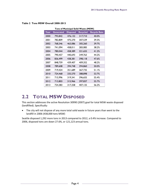|      | Tons of Municipal Solid Waste (MSW) |                 |                 |                     |  |  |
|------|-------------------------------------|-----------------|-----------------|---------------------|--|--|
| Year | Generated                           | <b>Disposed</b> | <b>Recycled</b> | <b>Recycle Rate</b> |  |  |
| 2000 | 793,842                             | 476,132         | 317,710         | 40.0%               |  |  |
| 2001 | 782,809                             | 475,270         | 307,539         | 39.3%               |  |  |
| 2002 | 768,346                             | 463,086         | 305,260         | 39.7%               |  |  |
| 2003 | 741,094                             | 458,011         | 283,083         | 38.2%               |  |  |
| 2004 | 780,044                             | 458,389         | 321,655         | 41.2%               |  |  |
| 2005 | 790,457                             | 440,693         | 349,763         | 44.2%               |  |  |
| 2006 | 836.499                             | 438,381         | 398,118         | 47.6%               |  |  |
| 2007 | 848,759                             | 439,407         | 409,352         | 48.2%               |  |  |
| 2008 | 789,608                             | 394,748         | 394,860         | 50.0%               |  |  |
| 2009 | 719,424                             | 351,689         | 367,735         | 51.1%               |  |  |
| 2010 | 724,468                             | 335,570         | 388,898         | 53.7%               |  |  |
| 2011 | 715,996                             | 319,341         | 396,655         | 55.4%               |  |  |
| 2012 | 713,803                             | 315,966         | 397,837         | 55.7%               |  |  |
| 2013 | 724,383                             | 317,258         | 407,125         | 56.2%               |  |  |

#### <span id="page-5-1"></span>**Table 2 Tons MSW Overall 2000-2013**

### <span id="page-5-0"></span>**2.2 TOTAL MSW DISPOSED**

This section addresses the active Resolution 30990 (2007) goal for total MSW waste disposed (landfilled). Specifically:

 The city will not dispose of any more total solid waste in future years than went to the landfill in 2006 (438,000 tons MSW)

Seattle disposed 1,292 more tons in 2013 compared to 2012, a 0.4% increase. Compared to 2006, disposed tons are down 27.6%, or 121,123 annual tons.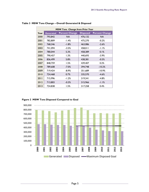|      | MSW Tons Change from Prior Year |                       |                 |                       |  |  |  |  |
|------|---------------------------------|-----------------------|-----------------|-----------------------|--|--|--|--|
| Year | <b>Generated</b>                | <b>Percent Change</b> | <b>Disposed</b> | <b>Percent Change</b> |  |  |  |  |
| 2000 | 793,842                         | NA.                   | 476,132         | NA.                   |  |  |  |  |
| 2001 | 782,809                         | -1.4%                 | 475,270         | $-0.2%$               |  |  |  |  |
| 2002 | 768,346                         | $-1.8%$               | 463,086         | $-2.6%$               |  |  |  |  |
| 2003 | 741,094                         | $-3.5%$               | 458,011         | $-1.1%$               |  |  |  |  |
| 2004 | 780,044                         | 5.3%                  | 458,389         | 0.1%                  |  |  |  |  |
| 2005 | 790,457                         | 1.3%                  | 440.693         | $-3.9\%$              |  |  |  |  |
| 2006 | 836,499                         | 5.8%                  | 438,381         | $-0.5%$               |  |  |  |  |
| 2007 | 848,759                         | 1.5%                  | 439,407         | 0.2%                  |  |  |  |  |
| 2008 | 789,608                         | $-7.0%$               | 394,748         | $-10.2%$              |  |  |  |  |
| 2009 | 719,424                         | -8.9%                 | 351,689         | $-10.9%$              |  |  |  |  |
| 2010 | 724,468                         | 0.7%                  | 335,570         | $-4.6%$               |  |  |  |  |
| 2011 | 715,996                         | $-1.2%$               | 319,341         | $-4.8%$               |  |  |  |  |
| 2012 | 713,803                         | $-0.3%$               | 315,966         | $-1.1%$               |  |  |  |  |
| 2013 | 724,838                         | 1.5%                  | 317,258         | 0.4%                  |  |  |  |  |

#### <span id="page-6-1"></span>**Table 3 MSW Tons Change – Overall Generated & Disposed**



#### <span id="page-6-0"></span>**Figure 2 MSW Tons Disposed Compared to Goal**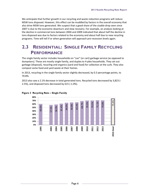We anticipate that further growth in our recycling and waste reduction programs will reduce MSW tons disposed. However, this effect can be muddled by factors in the overall economy that also drive MSW tons generated. We suspect that a good share of the sizable drop seen since 2007 is due to the economic downturn and slow recovery. For example, an analysis looking at the decline in commercial tons between 2004 and 2009 indicated that about half the decline in tons disposed was due to factors related to the economy and about half due to new recycling programs. Time will tell if or when generation will approach pre-recession levels again.

### <span id="page-7-0"></span>**2.3 RESIDENTIAL: SINGLE FAMILY RECYCLING PERFORMANCE**

The single family sector includes households on "can" (or cart) garbage service (as opposed to dumpsters). These are mostly single family, and duplex to 4-plex households. They set out garbage (disposal), recycling and organics (yard and food) for collection at the curb. They also compost some food and yard waste at their homes.

In 2013, recycling in the single family sector slightly decreased, by 0.3 percentage points, to 70.8%.

2013 also saw a 2.1% decrease in total generated tons. Recycled tons decreased by 3,823 (- 2.5%), and disposed tons decreased by 615 (-1.0%).



#### <span id="page-7-1"></span>**Figure 3 Recycling Rate – Single Family**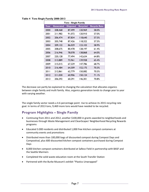| <b>Tons - Single Family</b> |           |                 |                 |                     |  |  |
|-----------------------------|-----------|-----------------|-----------------|---------------------|--|--|
| Year                        | Generated | <b>Disposed</b> | <b>Recycled</b> | <b>Recycle Rate</b> |  |  |
| 2000                        | 208,468   | 87,499          | 120,969         | 58.0%               |  |  |
| 2001                        | 211,982   | 91,072          | 120,910         | 57.0%               |  |  |
| 2002                        | 206,474   | 87,834          | 118,640         | 57.5%               |  |  |
| 2003                        | 205,748   | 87,426          | 18,322          | 57.5%               |  |  |
| 2004                        | 209,132   | 86,029          | 123, 103        | 58.9%               |  |  |
| 2005                        | 208,675   | 80,478          | 128,197         | 61.4%               |  |  |
| 2006                        | 216,946   | 78,078          | 138,868         | 64.0%               |  |  |
| 2007                        | 220,128   | 77,494          | 142,634         | 64.8%               |  |  |
| 2008                        | 213,889   | 73,961          | 139,928         | 65.4%               |  |  |
| 2009                        | 215,015   | 67,229          | 147,786         | 68.7%               |  |  |
| 2010                        | 216,484   | 64,309          | 152,175         | 70.3%               |  |  |
| 20 I I                      | 212,861   | 62,779          | 150,082         | 70.5%               |  |  |
| 2012                        | 211,030   | 60,906          | 150, 124        | 71.1%               |  |  |
| 2013                        | 206,592   | 60,291          | 146,301         | 70.8%               |  |  |

<span id="page-8-0"></span>**Table 4 Tons Single Family 2000-2013** 

The decrease can partly be explained to changing the calculation that allocates organics between single family and multi family. Also, organics generation tends to change year to year with varying weather.

The single family sector needs a 4.6 percentage point rise to achieve its 2015 recycling rate goal. In terms of 2013 tons, 9,469 more tons would have needed to be recycled.

### **Program Highlights – Single Family**

- Continuing from 2011 and 2012, another \$100,000 in grants awarded to neighborhoods and businesses through Waste Management and CleanScapes' Neighborhood Recycling Rewards programs
- Educated 3.000 residents and distributed 1,000 free kitchen compost containers at community events and promotions
- Distributed more than 100,000 bags of discounted compost during Compost Days and Compostival, plus 600 discounted kitchen compost containers purchased during Compost Days
- 8,000 kitchen compost containers distributed at Safeco Field in partnership with BASF and the Seattle Mariners
- Completed the solid waste education room at the South Transfer Station
- Partnered with the Burke Museum's exhibit "Plastics Unwrapped"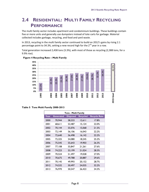### <span id="page-9-0"></span>**2.4 RESIDENTIAL: MULTI FAMILY RECYCLING PERFORMANCE**

The multi family sector includes apartment and condominium buildings. These buildings contain five or more units and generally use dumpsters instead of tote carts for garbage. Material collected includes garbage, recycling, and food and yard waste.

In 2013, recycling in the multi family sector continued to build on 2012's gains by rising 2.1 percentage point to 34.3%, setting a new record high for the  $2^{nd}$  year in a row.

Total generation increased 2,438 tons (3.3%), with most of those as recycling (2,388 tons, for a 9.9% rise).



#### <span id="page-9-1"></span> **Figure 4 Recycling Rate – Multi Family**

<span id="page-9-2"></span>**Table 5 Tons Multi Family 2000-2013** 

| <b>Tons - Multi Family</b> |                  |                 |                 |                     |  |  |  |
|----------------------------|------------------|-----------------|-----------------|---------------------|--|--|--|
| Year                       | <b>Generated</b> | <b>Disposed</b> | <b>Recycled</b> | <b>Recycle Rate</b> |  |  |  |
| 2000                       | 70,944           | 58,333          | 12,611          | 17.8%               |  |  |  |
| 2001                       | 68,611           | 53,487          | 15,124          | 22.0%               |  |  |  |
| 2002                       | 70,144           | 55,076          | 15,068          | 21.5%               |  |  |  |
| 2003                       | 72.I49           | 56.106          | 16,043          | 22.2%               |  |  |  |
| 2004                       | 72,640           | 56,498          | 16, 142         | 22.2%               |  |  |  |
| 2005                       | 72,325           | 54,080          | 18,245          | 25.2%               |  |  |  |
| 2006                       | 75,545           | 55,643          | 19,903          | 26.3%               |  |  |  |
| 2007                       | 77,108           | 55,847          | 21,261          | 27.6%               |  |  |  |
| 2008                       | 74,223           | 53,199          | 21,024          | 28.3%               |  |  |  |
| 2009                       | 70.524           | 51.497          | 19.028          | 27.0%               |  |  |  |
| 2010                       | 70,675           | 49,788          | 20,887          | 29.6%               |  |  |  |
| 2011                       | 70,145           | 49,993          | 20,152          | 28.7%               |  |  |  |
| 2012                       | 74,532           | 50,497          | 24,035          | 32.2%               |  |  |  |
| 2013                       | 76,970           | 50,547          | 26,423          | 34.3%               |  |  |  |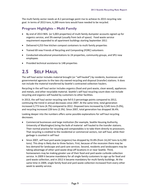The multi family sector needs an 8.2 percentage point rise to achieve its 2015 recycling rate goal. In terms of 2013 tons, 6,289 more tons would have needed to be recycled.

### **Program Highlights – Multi Family**

- By end of 2013 96% (or 5,003 properties) of multi family dumpster accounts signed up for organics service, and 3% exempt (usually from lack of space). Food waste service requirement expanded to all apartment buildings starting September 2011
- Delivered 4,253 free kitchen compost containers to multi family properties
- Trained 69 new Friends of Recycling and Composting (FORC) volunteers
- Conducted educational presentations to 24 properties, community groups, and SPU new employees
- Provided technical assistance to 148 properties

# <span id="page-10-0"></span>**2.5 SELF HAUL**

The self haul sector includes material brought (or "self hauled") by residents, businesses and governmental agencies to the two city-owned recycling and disposal (transfer) stations. It does not include the material transferred by Seattle's contracted collection haulers.

Recycling in the self haul sector includes organics (food and yard waste, clean wood), appliances and metals, and other recyclable material. Seattle's self haul recycling count does not include recycling and organics self hauled by customers to other facilities.

In 2013, the self haul sector recycling rate fell 0.3 percentage points compared to 2012, continuing the trend in annual decreases since 2007. At the same time, total generation increased 3,773 tons (4.7%) compared to 2012. Disposed tons increased by 3,545 tons (5.0%), and recycling increased 228 tons (2.3%). Since 2007, total generation has dropped 36.4%.

Looking deeper into the numbers offers some possible explanations for self haul recycling decreases.

- Commercial businesses and large institution (for example, Seattle Housing Authority, University of Washington) bring the bulk of material self hauled to the transfer stations. Their normal practice for recycling and compostables is to take them directly to processors. That recycling is credited to the residential or commercial sectors, not self haul, while their garbage is counted in self haul
- Since 2007, self haul yard waste (organics) has dropped by 55.8% (from 14,247 tons to 6,290 tons). This drop is likely due to three factors. First, because of the recession there may be less demand for landscape and yard care services. Second, residents and landscapers may be taking advantage of other yard waste drop-off locations in or near Seattle. Third, homeowners may be making greater use of their food and yard waste curbside collection service. In 2009 it became mandatory for all single family customers to sign up for food and yard waste collection, and in 2012 it became mandatory for multi family buildings. At the same time in 2009, single family food and yard waste collection increased from every other week to weekly service.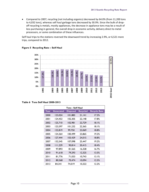Compared to 2007, recycling (not including organics) decreased by 64.0% (from 11,200 tons to 4,032 tons), whereas self haul garbage tons decreased by 30.9%. Since the bulk of dropoff recycling is metals, mostly appliances, the decrease in appliance tons may be a result of less purchasing in general, the overall drop in economic activity, delivery direct to metal processors, or some combination of these influences.

Self haul trips to the stations reversed the downward trend by increasing 2.9%, or 6,521 more trips, compared to 2012.



#### <span id="page-11-0"></span>**Figure 5 Recycling Rate – Self Haul**

<span id="page-11-1"></span>**Table 6 Tons Self Haul 2000-2013** 

| <b>Tons - Self Haul</b> |           |                 |                 |                     |  |  |
|-------------------------|-----------|-----------------|-----------------|---------------------|--|--|
| Year                    | Generated | <b>Disposed</b> | <b>Recycled</b> | <b>Recycle Rate</b> |  |  |
| 2000                    | 123,024   | 101,883         | 21,141          | 17.2%               |  |  |
| 2001                    | 124.453   | 102,305         | 22,148          | 17.8%               |  |  |
| 2002                    | 125,710   | 102,981         | 22,729          | $18.1\%$            |  |  |
| 2003                    | 123,597   | 101,232         | 22,365          | 18.1%               |  |  |
| 2004                    | 122,819   | 99,750          | 23,069          | 18.8%               |  |  |
| 2005                    | 124.364   | 100,499         | 23.865          | 19.2%               |  |  |
| 2006                    | 127,444   | 103,429         | 24,015          | 18.8%               |  |  |
| 2007                    | 132,545   | 107,098         | 25,447          | 19.2%               |  |  |
| 2008                    | 111,229   | 90,814          | 20,415          | 18.4%               |  |  |
| 2009                    | 97,893    | 81,565          | 16,328          | 16.7%               |  |  |
| 2010                    | 91,618    | 79,293          | 12,325          | 13.5%               |  |  |
| 20 I I                  | 81,776    | 71,033          | 10,743          | 13.1%               |  |  |
| 2012                    | 80,568    | 70,474          | 10,094          | 12.5%               |  |  |
| 2013                    | 84,341    | 74.019          | 10,322          | 12.2%               |  |  |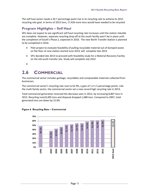The self haul sector needs a 20.7 percentage point rise in its recycling rate to achieve its 2015 recycling rate goal. In terms of 2013 tons, 17,426 more tons would have needed to be recycled.

### **Program Highlights – Self Haul**

SPU does not expect to see significant self haul recycling rate increases until the station rebuilds are complete. However, separate recycling drop off at the south facility won't be in place until the completion of South's Phase 2, expected in 2018. The new North Transfer Station is planned to be completed in 2016.

- Pilot project to evaluate feasibility of pulling recyclable material out of dumped waste on flat floor at new station started June 2014; will complete late 2014
- SPU decided late 2013 to proceed with feasibility study for a Material Recovery Facility on the old south transfer site. Study will complete July 2014
- $\bullet$

# <span id="page-12-0"></span>**2.6 COMMERCIAL**

The commercial sector includes garbage, recyclables and compostable materials collected from businesses.

The commercial sector's recycling rate rose to 62.9%, a gain of 1.4 1.5 percentage points. Like the multi family sector, the commercial sector set a new record high recycling rate in 2013.

Total commercial generation reversed the decrease seen in 2012, by increasing 8,807 tons in 2013. Recycling rose10,495 tons and disposal dropped 1,688 tons. Compared to 2007, total generated tons are down by 15.0%



#### <span id="page-12-1"></span>**Figure 6 Recycling Rate – Commercial**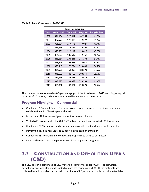| <b>Tons - Commercial</b> |           |                 |                 |                     |  |  |
|--------------------------|-----------|-----------------|-----------------|---------------------|--|--|
| Year                     | Generated | <b>Disposed</b> | <b>Recycled</b> | <b>Recycle Rate</b> |  |  |
| 2000                     | 391,406   | 228,417         | 162,989         | 41.6%               |  |  |
| 2001                     | 377,927   | 228,405         | 149,522         | 39.6%               |  |  |
| 2002                     | 366,224   | 217,195         | 149,029         | 40.7%               |  |  |
| 2003                     | 339,844   | 213,247         | 126,597         | 37.3%               |  |  |
| 2004                     | 375,739   | 216,112         | 159,627         | 42.5%               |  |  |
| 2005                     | 385,093   | 205,637         | 179,456         | 46.6%               |  |  |
| 2006                     | 416,564   | 201,231         | 215,333         | 51.7%               |  |  |
| 2007                     | 418,979   | 198,968         | 220,011         | 52.5%               |  |  |
| 2008                     | 390,267   | 176,774         | 213,493         | 54.7%               |  |  |
| 2009                     | 335,992   | 151,398         | 184,593         | 54.9%               |  |  |
| 2010                     | 345,692   | 142,180         | 203,511         | 58.9%               |  |  |
| 20 I I                   | 351,214   | 135,536         | 215,678         | 61.4%               |  |  |
| 2012                     | 347,673   | 134,089         | 213,584         | 61.4%               |  |  |
| 2013                     | 356,480   | 132,401         | 224,079         | 62.9%               |  |  |

<span id="page-13-1"></span>**Table 7 Tons Commercial 2000-2013** 

The commercial sector needs a 0.5 percentage point rise to achieve its 2015 recycling rate goal. In terms of 2013 tons, 1,929 more tons would have needed to be recycled.

### **Program Highlights – Commercial**

- Conducted 2<sup>nd</sup> annual Golden Dumpster Awards green business recognition program in collaboration with CleanScapes and BOMA
- More than 228 businesses signed up for food waste collection
- Visited 413 businesses for the Get On The Map outreach and enrolled 127 businesses
- Conducted 282 business visits to support compostable food packaging implementation
- Performed 417 business visits to support plastic bag ban transition
- Conducted 153 recycling and composting program site visits to businesses
- Launched several restroom paper towel pilot composting programs

### <span id="page-13-0"></span>**2.7 CONSTRUCTION AND DEMOLITION DEBRIS (C&D)**

The C&D sector is comprised of C&D materials (sometimes called "CDL") – construction, demolition, and land clearing debris) which are not mixed with MSW. These materials are collected by a firm under contract with the city for C&D, or are self hauled to private facilities.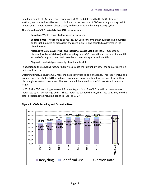Smaller amounts of C&D materials mixed with MSW, and delivered to the SPU's transfer stations, are counted as MSW and not included in the measure of C&D recycling and disposal. In general, C&D generation correlates closely with economic and building activity cycles.

The hierarchy of C&D materials that SPU tracks includes:

**Recycling**. Wastes separated for recycling or reuse.

**Beneficial Use** – not recycled or reused, but used for some other purpose like industrial boiler fuel. Counted as disposal in the recycling rate, and counted as diverted in the diversion rate.

**Alternative Daily Cover (ADC) and Industrial Waste Stabilizer (IWS)** – Counted as disposal (not beneficial use) in the recycling rate. ADC covers the active face of a landfill instead of using soil cover. IWS provides structure in specialized landfills.

**Disposal** – material permanently placed in a landfill.

In addition to the recycling rate, for C&D we calculate the "**diversion**" rate, the sum of recycling and beneficial use.

Obtaining timely, accurate C&D recycling data continues to be a challenge. This report includes a preliminary estimate for C&D recycling. This estimate may be refined by the end of July 2014 if clarifying information is received. The new rate will be posted on the SPU construction waste pages.

In 2013, the C&D recycling rate rose 1.3 percentage points. The C&D beneficial use rate also increased, by 1.4 percentage points. These increases pushed the recycling rate to 60.8%, and the total diversion rate (including beneficial use) to 67.2%



#### <span id="page-14-0"></span>**Figure 7 C&D Recycling and Diversion Rate**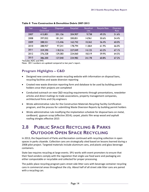| Year | Total<br>Generated | Disposed* | Recycled | <b>Beneficial</b><br>Use | <b>Recycle Rate</b> | <b>Diversion</b><br>Rate |
|------|--------------------|-----------|----------|--------------------------|---------------------|--------------------------|
| 2007 | 415.801            | 201,156   | 204.907  | 9,738                    | 49.3%               | 51.6%                    |
| 2008 | 397,052            | 181.241   | 200.851  | 14,961                   | 50.6%               | 54.4%                    |
| 2009 | 288,551            | 115,446   | 162,742  | 10.362                   | 56.4%               | 60.0%                    |
| 2010 | 288,957            | 97.241    | 178.794  | 11.864                   | 61.9%               | 66.0%                    |
| 2011 | 359,390            | 118.216   | 227.049  | 14.125                   | 63.2%               | 67.1%                    |
| 2012 | 376,328            | 129,383   | 224.060  | 18.519                   | 59.9%               | 64.5%                    |
| 2013 | 386,200            | 127.040   | 234.982  | 24.178                   | 60.8%               | 67.2%                    |

#### <span id="page-15-1"></span>**Table 8 Tons Construction & Demolition Debris 2007-2013**

\*Includes ADC and IWS

Note: 2011 numbers are updated compared to last year's report.

### **Program Highlights – C&D**

- Designed new construction waste recycling website with information on disposal bans, recycling facilities and waste diversion reporting
- Created new waste diversion reporting form and database to be used by building permit holders once their projects are completed
- Conducted outreach on new C&D recycling requirements through presentations, newsletter articles and direct mailings to trade associations, property management companies, architectural firms and City engineers
- Wrote administrative rules for the Construction Materials Recycling Facility Certification program, and the process for submitting Waste Diversion Reports by building permit holders
- Wrote administrative rule modifying the implantation schedule for disposal bans on metal, cardboard, gypsum scrap (effective 2014); carpet, plastic film wrap wood and asphalt roofing shingles effective 2015

### <span id="page-15-0"></span>**2.8 PUBLIC SPACE RECYCLING & PARKS OUTDOOR OPEN SPACE RECYCLING**

In 2013, the Department of Parks and Recreation continued with recycling collection in open spaces in parks citywide. Collection cans are strategically sited based on lessons learned during a 2008 pilot project. Targeted materials include aluminum cans, and plastic and glass beverage containers.

State law requires recycling at large events. SPU works with event promoters to ensure that their food vendors comply with the regulation that single-use food ware and packaging are either compostable or recyclable and collected for proper processing.

The public place recycling program pairs street side litter cans with beverage container recycling cans in commercial areas throughout the city. About half of all street side litter cans are paired with a recycling can.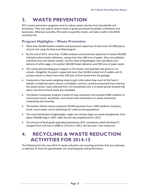# <span id="page-16-0"></span>**3. WASTE PREVENTION**

SPU's waste prevention programs work to reduce waste volumes from households and businesses. They also seek to reduce toxics in goods purchased by people, institutions and businesses. Wherever possible, SPU seeks to quantify results, and takes credit in the MSW recycling rate.

### **Program Highlights – Waste Prevention**

- More than 26,000 Seattle residents and businesses opted out of more than 357,000 pieces of junk mail using the Stop Junk Mail program
- By the end of 2013, more than 75,000 residents and businesses opted out of nearly 440,000 individual phone books deliveries, saving more than 400 tons of paper. Also, one publisher withdrew from the Seattle market, and the State of Washington law now allows nondelivery of white pages, for another 600,000 fewer deliveries and 950 tons of paper saved
- SPU continued providing grant support to 30 schools, and awarded new grants to 14 schools. Altogether the grants supported more than 16,000 students at 22 public and 22 private schools to divert more than 430 tons of food waste from the garbage
- Conducted a food waste weighing study to gain information how much of the food in Seattle's residential waste stream is avoidable, and thus could be prevented from entering the waste stream. Data collected from 119 households over a 13-week period showed that about one-third of food waste was avoidable
- The Master Composter program trained 33 new volunteers and reached 9,000 residents at community events, workshops, and schools with information on waste prevention, composting and recycling
- The Garden Hotline service answered 29,000 questions from 7,000 residents via phone, email, social media, and at workshops for underserved populations
- The retail distribution of lightweight, single-use carryout bags has nearly disappeared, from about 290,000 bags in 2007, after the ban was implemented in 2012
- The amount of food-grade expanded polystyrene (EPS, sometimes called Styrofoam®) dropped from 516 tons in 2008 to 174 tons in 2012, the last year it was measured

### <span id="page-16-1"></span>**4. RECYCLING & WASTE REDUCTION ACTIVITIES FOR 2014-15**

The following lists the new 2014-15 waste reduction and recycling activities that are underway or planned, to close the gap between our recycling goals and performance.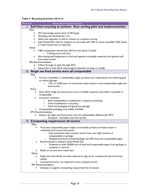| Work Item     | Deliverable or Planned Outcome                                                                           |  |  |  |  |  |  |  |
|---------------|----------------------------------------------------------------------------------------------------------|--|--|--|--|--|--|--|
| $\mathsf{L}$  | Self Haul recycling at stations: floor sorting pilot and implementation                                  |  |  |  |  |  |  |  |
| Why           |                                                                                                          |  |  |  |  |  |  |  |
|               | 20.7 percentage points short of 2015 goal                                                                |  |  |  |  |  |  |  |
| $\bullet$     | Recycling rate declined last 3 yrs                                                                       |  |  |  |  |  |  |  |
|               | Need new approach to add to reliance on customer sorting                                                 |  |  |  |  |  |  |  |
| $\bullet$     | Solid Waste Plan calls for program to sort loads with 50% or more recyclable C&D waste                   |  |  |  |  |  |  |  |
|               | (17,330 recycle tons at maturity)                                                                        |  |  |  |  |  |  |  |
| <b>Status</b> |                                                                                                          |  |  |  |  |  |  |  |
|               | C&D sorting pilot started June 2014 at new South Transfer                                                |  |  |  |  |  |  |  |
|               | Tracking costs and tons<br>$\circ$                                                                       |  |  |  |  |  |  |  |
|               | Also testing staff assignment to find and separate recyclable materials from general self                |  |  |  |  |  |  |  |
|               | haul waste stream                                                                                        |  |  |  |  |  |  |  |
|               | <b>SPU Recommendation</b>                                                                                |  |  |  |  |  |  |  |
|               | Follow through on pilot through 2014                                                                     |  |  |  |  |  |  |  |
|               | Determine in early 2015 what program elements to keep or modify                                          |  |  |  |  |  |  |  |
|               | 2. Single use food service ware all compostable                                                          |  |  |  |  |  |  |  |
| Why           |                                                                                                          |  |  |  |  |  |  |  |
|               | Current recyclable or compostable single use food ware requirement not achieving goal                    |  |  |  |  |  |  |  |
|               | to reduce garbage:                                                                                       |  |  |  |  |  |  |  |
|               | 1.9%, or 2,600 tons, of commercial waste stream is non-compostable single-use<br>$\circ$<br>food service |  |  |  |  |  |  |  |
| <b>Status</b> |                                                                                                          |  |  |  |  |  |  |  |
| $\bullet$     | Since 2010, single use food service ware in Seattle required to be either recyclable or                  |  |  |  |  |  |  |  |
|               | compostable                                                                                              |  |  |  |  |  |  |  |
|               | Customer confusion                                                                                       |  |  |  |  |  |  |  |
|               | Non-compostables troublesome in organics processing<br>$\circ$                                           |  |  |  |  |  |  |  |
|               | Food troublesome in recycling<br>$\circ$                                                                 |  |  |  |  |  |  |  |
|               | Food and packaging still going into garbage<br>$\circ$                                                   |  |  |  |  |  |  |  |
|               | Compostable packaging now widely available                                                               |  |  |  |  |  |  |  |
|               | <b>SPU</b> Recommendation                                                                                |  |  |  |  |  |  |  |
|               | Require all single use food service ware be compostable, effective July 2015.                            |  |  |  |  |  |  |  |
|               | Exception: recyclable cups and cup lids                                                                  |  |  |  |  |  |  |  |
|               | 3. Composting requirement all sectors                                                                    |  |  |  |  |  |  |  |
| Why           |                                                                                                          |  |  |  |  |  |  |  |
|               | Food and compostable paper largest recoverable portions of waste stream in                               |  |  |  |  |  |  |  |
|               | residential and commercial sectors                                                                       |  |  |  |  |  |  |  |
|               | Even businesses with compost service have very high amounts of<br>$\circ$                                |  |  |  |  |  |  |  |
|               | compostables in garbage                                                                                  |  |  |  |  |  |  |  |
|               | Sampled businesses showed garbage was 45% food and compostable paper<br>$\circ$                          |  |  |  |  |  |  |  |
|               | Recommended in Seattle's Solid Waste Plan                                                                |  |  |  |  |  |  |  |
|               | Projected to shift 38,000 tons of food and compostable paper from garbage to<br>$\circ$                  |  |  |  |  |  |  |  |
|               | compost at maturity                                                                                      |  |  |  |  |  |  |  |
|               | Builds on current yard waste bans                                                                        |  |  |  |  |  |  |  |
| <b>Status</b> |                                                                                                          |  |  |  |  |  |  |  |
|               | Single and multi family accounts required to sign up for compost bin (yard and food<br>$\bullet$         |  |  |  |  |  |  |  |
|               | waste)                                                                                                   |  |  |  |  |  |  |  |
|               | Commercial sector not required to have compost service                                                   |  |  |  |  |  |  |  |
|               | SPU Recommendation                                                                                       |  |  |  |  |  |  |  |
|               | Institute an organics composting requirement for all sectors                                             |  |  |  |  |  |  |  |
|               |                                                                                                          |  |  |  |  |  |  |  |

#### <span id="page-17-0"></span>**Table 9 Recycling Activities 2014-15**